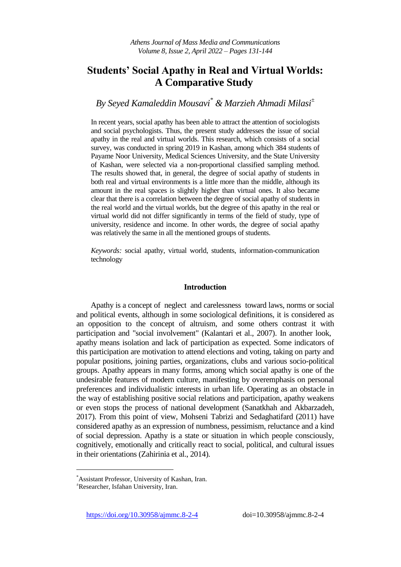# **Students' Social Apathy in Real and Virtual Worlds: A Comparative Study**

# *By Seyed Kamaleddin Mousavi\* & Marzieh Ahmadi Milasi<sup>±</sup>*

In recent years, social apathy has been able to attract the attention of sociologists and social psychologists. Thus, the present study addresses the issue of social apathy in the real and virtual worlds. This research, which consists of a social survey, was conducted in spring 2019 in Kashan, among which 384 students of Payame Noor University, Medical Sciences University, and the State University of Kashan, were selected via a non-proportional classified sampling method. The results showed that, in general, the degree of social apathy of students in both real and virtual environments is a little more than the middle, although its amount in the real spaces is slightly higher than virtual ones. It also became clear that there is a correlation between the degree of social apathy of students in the real world and the virtual worlds, but the degree of this apathy in the real or virtual world did not differ significantly in terms of the field of study, type of university, residence and income. In other words, the degree of social apathy was relatively the same in all the mentioned groups of students.

*Keywords:* social apathy, virtual world, students, information-communication technology

## **Introduction**

Apathy is a concept of neglect and carelessness toward laws, norms or social and political events, although in some sociological definitions, it is considered as an opposition to the concept of altruism, and some others contrast it with participation and "social involvement" (Kalantari et al., 2007). In another look, apathy means isolation and lack of participation as expected. Some indicators of this participation are motivation to attend elections and voting, taking on party and popular positions, joining parties, organizations, clubs and various socio-political groups. Apathy appears in many forms, among which social apathy is one of the undesirable features of modern culture, manifesting by overemphasis on personal preferences and individualistic interests in urban life. Operating as an obstacle in the way of establishing positive social relations and participation, apathy weakens or even stops the process of national development (Sanatkhah and Akbarzadeh, 2017). From this point of view, Mohseni Tabrizi and Sedaghatifard (2011) have considered apathy as an expression of numbness, pessimism, reluctance and a kind of social depression. Apathy is a state or situation in which people consciously, cognitively, emotionally and critically react to social, political, and cultural issues in their orientations (Zahirinia et al., 2014).

 $\overline{a}$ 

<https://doi.org/10.30958/ajmmc.8-2-4>doi=10.30958/ajmmc.8-2-4

<sup>\*</sup>Assistant Professor, University of Kashan, Iran.

<sup>±</sup>Researcher, Isfahan University, Iran.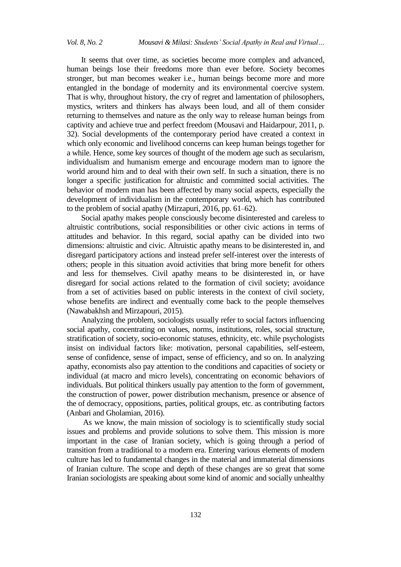It seems that over time, as societies become more complex and advanced, human beings lose their freedoms more than ever before. Society becomes stronger, but man becomes weaker i.e., human beings become more and more entangled in the bondage of modernity and its environmental coercive system. That is why, throughout history, the cry of regret and lamentation of philosophers, mystics, writers and thinkers has always been loud, and all of them consider returning to themselves and nature as the only way to release human beings from captivity and achieve true and perfect freedom (Mousavi and Haidarpour, 2011, p. 32). Social developments of the contemporary period have created a context in which only economic and livelihood concerns can keep human beings together for a while. Hence, some key sources of thought of the modern age such as secularism, individualism and humanism emerge and encourage modern man to ignore the world around him and to deal with their own self. In such a situation, there is no longer a specific justification for altruistic and committed social activities. The behavior of modern man has been affected by many social aspects, especially the development of individualism in the contemporary world, which has contributed to the problem of social apathy (Mirzapuri, 2016, pp. 61–62).

Social apathy makes people consciously become disinterested and careless to altruistic contributions, social responsibilities or other civic actions in terms of attitudes and behavior. In this regard, social apathy can be divided into two dimensions: altruistic and civic. Altruistic apathy means to be disinterested in, and disregard participatory actions and instead prefer self-interest over the interests of others; people in this situation avoid activities that bring more benefit for others and less for themselves. Civil apathy means to be disinterested in, or have disregard for social actions related to the formation of civil society; avoidance from a set of activities based on public interests in the context of civil society, whose benefits are indirect and eventually come back to the people themselves (Nawabakhsh and Mirzapouri, 2015).

Analyzing the problem, sociologists usually refer to social factors influencing social apathy, concentrating on values, norms, institutions, roles, social structure, stratification of society, socio-economic statuses, ethnicity, etc. while psychologists insist on individual factors like: motivation, personal capabilities, self-esteem, sense of confidence, sense of impact, sense of efficiency, and so on. In analyzing apathy, economists also pay attention to the conditions and capacities of society or individual (at macro and micro levels), concentrating on economic behaviors of individuals. But political thinkers usually pay attention to the form of government, the construction of power, power distribution mechanism, presence or absence of the of democracy, oppositions, parties, political groups, etc. as contributing factors (Anbari and Gholamian, 2016).

As we know, the main mission of sociology is to scientifically study social issues and problems and provide solutions to solve them. This mission is more important in the case of Iranian society, which is going through a period of transition from a traditional to a modern era. Entering various elements of modern culture has led to fundamental changes in the material and immaterial dimensions of Iranian culture. The scope and depth of these changes are so great that some Iranian sociologists are speaking about some kind of anomic and socially unhealthy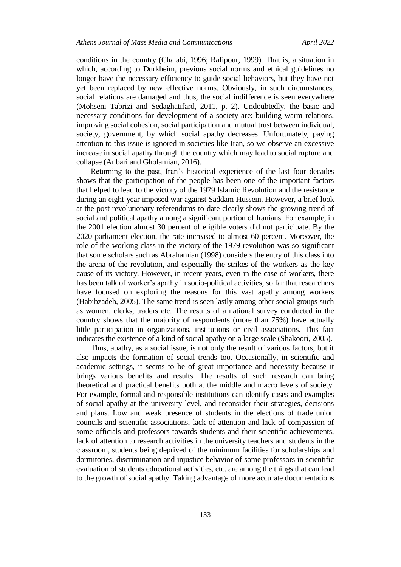conditions in the country (Chalabi, 1996; Rafipour, 1999). That is, a situation in which, according to Durkheim, previous social norms and ethical guidelines no longer have the necessary efficiency to guide social behaviors, but they have not yet been replaced by new effective norms. Obviously, in such circumstances, social relations are damaged and thus, the social indifference is seen everywhere (Mohseni Tabrizi and Sedaghatifard, 2011, p. 2). Undoubtedly, the basic and necessary conditions for development of a society are: building warm relations, improving social cohesion, social participation and mutual trust between individual, society, government, by which social apathy decreases. Unfortunately, paying attention to this issue is ignored in societies like Iran, so we observe an excessive increase in social apathy through the country which may lead to social rupture and collapse (Anbari and Gholamian, 2016).

Returning to the past, Iran's historical experience of the last four decades shows that the participation of the people has been one of the important factors that helped to lead to the victory of the 1979 Islamic Revolution and the resistance during an eight-year imposed war against Saddam Hussein. However, a brief look at the post-revolutionary referendums to date clearly shows the growing trend of social and political apathy among a significant portion of Iranians. For example, in the 2001 election almost 30 percent of eligible voters did not participate. By the 2020 parliament election, the rate increased to almost 60 percent. Moreover, the role of the working class in the victory of the 1979 revolution was so significant that some scholars such as Abrahamian (1998) considers the entry of this class into the arena of the revolution, and especially the strikes of the workers as the key cause of its victory. However, in recent years, even in the case of workers, there has been talk of worker's apathy in socio-political activities, so far that researchers have focused on exploring the reasons for this vast apathy among workers (Habibzadeh, 2005). The same trend is seen lastly among other social groups such as women, clerks, traders etc. The results of a national survey conducted in the country shows that the majority of respondents (more than 75%) have actually little participation in organizations, institutions or civil associations. This fact indicates the existence of a kind of social apathy on a large scale (Shakoori, 2005).

Thus, apathy, as a social issue, is not only the result of various factors, but it also impacts the formation of social trends too. Occasionally, in scientific and academic settings, it seems to be of great importance and necessity because it brings various benefits and results. The results of such research can bring theoretical and practical benefits both at the middle and macro levels of society. For example, formal and responsible institutions can identify cases and examples of social apathy at the university level, and reconsider their strategies, decisions and plans. Low and weak presence of students in the elections of trade union councils and scientific associations, lack of attention and lack of compassion of some officials and professors towards students and their scientific achievements, lack of attention to research activities in the university teachers and students in the classroom, students being deprived of the minimum facilities for scholarships and dormitories, discrimination and injustice behavior of some professors in scientific evaluation of students educational activities, etc. are among the things that can lead to the growth of social apathy. Taking advantage of more accurate documentations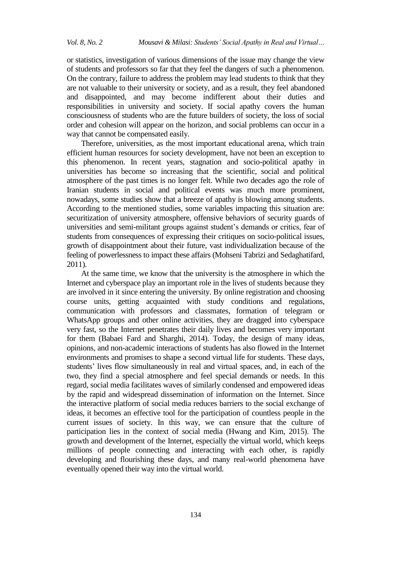or statistics, investigation of various dimensions of the issue may change the view of students and professors so far that they feel the dangers of such a phenomenon. On the contrary, failure to address the problem may lead students to think that they are not valuable to their university or society, and as a result, they feel abandoned and disappointed, and may become indifferent about their duties and responsibilities in university and society. If social apathy covers the human consciousness of students who are the future builders of society, the loss of social order and cohesion will appear on the horizon, and social problems can occur in a way that cannot be compensated easily.

Therefore, universities, as the most important educational arena, which train efficient human resources for society development, have not been an exception to this phenomenon. In recent years, stagnation and socio-political apathy in universities has become so increasing that the scientific, social and political atmosphere of the past times is no longer felt. While two decades ago the role of Iranian students in social and political events was much more prominent, nowadays, some studies show that a breeze of apathy is blowing among students. According to the mentioned studies, some variables impacting this situation are: securitization of university atmosphere, offensive behaviors of security guards of universities and semi-militant groups against student's demands or critics, fear of students from consequences of expressing their critiques on socio-political issues, growth of disappointment about their future, vast individualization because of the feeling of powerlessness to impact these affairs (Mohseni Tabrizi and Sedaghatifard, 2011).

At the same time, we know that the university is the atmosphere in which the Internet and cyberspace play an important role in the lives of students because they are involved in it since entering the university. By online registration and choosing course units, getting acquainted with study conditions and regulations, communication with professors and classmates, formation of telegram or WhatsApp groups and other online activities, they are dragged into cyberspace very fast, so the Internet penetrates their daily lives and becomes very important for them (Babaei Fard and Sharghi, 2014). Today, the design of many ideas, opinions, and non-academic interactions of students has also flowed in the Internet environments and promises to shape a second virtual life for students. These days, students' lives flow simultaneously in real and virtual spaces, and, in each of the two, they find a special atmosphere and feel special demands or needs. In this regard, social media facilitates waves of similarly condensed and empowered ideas by the rapid and widespread dissemination of information on the Internet. Since the interactive platform of social media reduces barriers to the social exchange of ideas, it becomes an effective tool for the participation of countless people in the current issues of society. In this way, we can ensure that the culture of participation lies in the context of social media (Hwang and Kim, 2015). The growth and development of the Internet, especially the virtual world, which keeps millions of people connecting and interacting with each other, is rapidly developing and flourishing these days, and many real-world phenomena have eventually opened their way into the virtual world.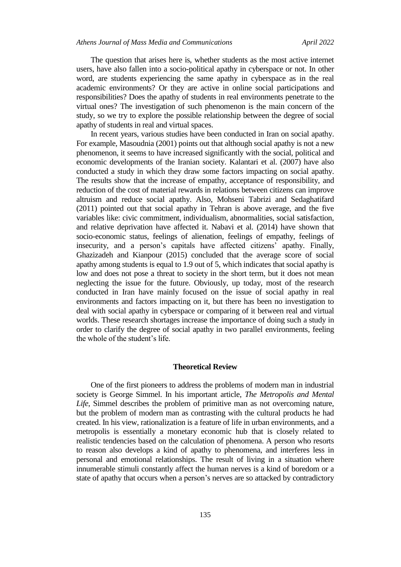The question that arises here is, whether students as the most active internet users, have also fallen into a socio-political apathy in cyberspace or not. In other word, are students experiencing the same apathy in cyberspace as in the real academic environments? Or they are active in online social participations and responsibilities? Does the apathy of students in real environments penetrate to the virtual ones? The investigation of such phenomenon is the main concern of the study, so we try to explore the possible relationship between the degree of social apathy of students in real and virtual spaces.

In recent years, various studies have been conducted in Iran on social apathy. For example, Masoudnia (2001) points out that although social apathy is not a new phenomenon, it seems to have increased significantly with the social, political and economic developments of the Iranian society. Kalantari et al. (2007) have also conducted a study in which they draw some factors impacting on social apathy. The results show that the increase of empathy, acceptance of responsibility, and reduction of the cost of material rewards in relations between citizens can improve altruism and reduce social apathy. Also, Mohseni Tabrizi and Sedaghatifard (2011) pointed out that social apathy in Tehran is above average, and the five variables like: civic commitment, individualism, abnormalities, social satisfaction, and relative deprivation have affected it. Nabavi et al. (2014) have shown that socio-economic status, feelings of alienation, feelings of empathy, feelings of insecurity, and a person's capitals have affected citizens' apathy. Finally, Ghazizadeh and Kianpour (2015) concluded that the average score of social apathy among students is equal to 1.9 out of 5, which indicates that social apathy is low and does not pose a threat to society in the short term, but it does not mean neglecting the issue for the future. Obviously, up today, most of the research conducted in Iran have mainly focused on the issue of social apathy in real environments and factors impacting on it, but there has been no investigation to deal with social apathy in cyberspace or comparing of it between real and virtual worlds. These research shortages increase the importance of doing such a study in order to clarify the degree of social apathy in two parallel environments, feeling the whole of the student's life.

#### **Theoretical Review**

One of the first pioneers to address the problems of modern man in industrial society is George Simmel. In his important article, *The Metropolis and Mental Life*, Simmel describes the problem of primitive man as not overcoming nature, but the problem of modern man as contrasting with the cultural products he had created. In his view, rationalization is a feature of life in urban environments, and a metropolis is essentially a monetary economic hub that is closely related to realistic tendencies based on the calculation of phenomena. A person who resorts to reason also develops a kind of apathy to phenomena, and interferes less in personal and emotional relationships. The result of living in a situation where innumerable stimuli constantly affect the human nerves is a kind of boredom or a state of apathy that occurs when a person's nerves are so attacked by contradictory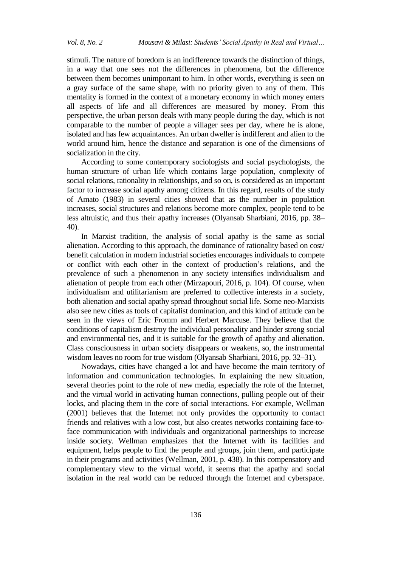stimuli. The nature of boredom is an indifference towards the distinction of things, in a way that one sees not the differences in phenomena, but the difference between them becomes unimportant to him. In other words, everything is seen on a gray surface of the same shape, with no priority given to any of them. This mentality is formed in the context of a monetary economy in which money enters all aspects of life and all differences are measured by money. From this perspective, the urban person deals with many people during the day, which is not comparable to the number of people a villager sees per day, where he is alone, isolated and has few acquaintances. An urban dweller is indifferent and alien to the world around him, hence the distance and separation is one of the dimensions of socialization in the city.

According to some contemporary sociologists and social psychologists, the human structure of urban life which contains large population, complexity of social relations, rationality in relationships, and so on, is considered as an important factor to increase social apathy among citizens. In this regard, results of the study of Amato (1983) in several cities showed that as the number in population increases, social structures and relations become more complex, people tend to be less altruistic, and thus their apathy increases (Olyansab Sharbiani, 2016, pp. 38– 40).

In Marxist tradition, the analysis of social apathy is the same as social alienation. According to this approach, the dominance of rationality based on cost/ benefit calculation in modern industrial societies encourages individuals to compete or conflict with each other in the context of production's relations, and the prevalence of such a phenomenon in any society intensifies individualism and alienation of people from each other (Mirzapouri, 2016, p. 104). Of course, when individualism and utilitarianism are preferred to collective interests in a society, both alienation and social apathy spread throughout social life. Some neo-Marxists also see new cities as tools of capitalist domination, and this kind of attitude can be seen in the views of Eric Fromm and Herbert Marcuse. They believe that the conditions of capitalism destroy the individual personality and hinder strong social and environmental ties, and it is suitable for the growth of apathy and alienation. Class consciousness in urban society disappears or weakens, so, the instrumental wisdom leaves no room for true wisdom (Olyansab Sharbiani, 2016, pp. 32–31).

Nowadays, cities have changed a lot and have become the main territory of information and communication technologies. In explaining the new situation, several theories point to the role of new media, especially the role of the Internet, and the virtual world in activating human connections, pulling people out of their locks, and placing them in the core of social interactions. For example, Wellman (2001) believes that the Internet not only provides the opportunity to contact friends and relatives with a low cost, but also creates networks containing face-toface communication with individuals and organizational partnerships to increase inside society. Wellman emphasizes that the Internet with its facilities and equipment, helps people to find the people and groups, join them, and participate in their programs and activities (Wellman, 2001, p. 438). In this compensatory and complementary view to the virtual world, it seems that the apathy and social isolation in the real world can be reduced through the Internet and cyberspace.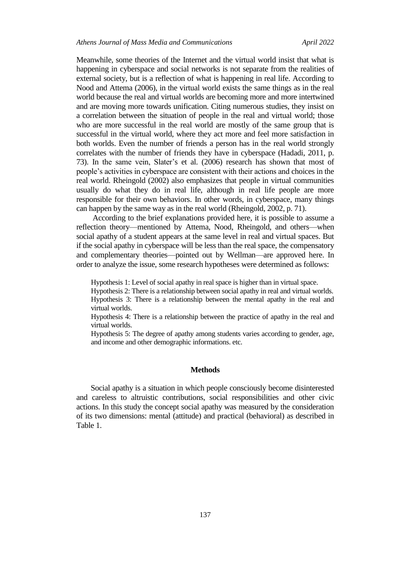Meanwhile, some theories of the Internet and the virtual world insist that what is happening in cyberspace and social networks is not separate from the realities of external society, but is a reflection of what is happening in real life. According to Nood and Attema (2006), in the virtual world exists the same things as in the real world because the real and virtual worlds are becoming more and more intertwined and are moving more towards unification. Citing numerous studies, they insist on a correlation between the situation of people in the real and virtual world; those who are more successful in the real world are mostly of the same group that is successful in the virtual world, where they act more and feel more satisfaction in both worlds. Even the number of friends a person has in the real world strongly correlates with the number of friends they have in cyberspace (Hadadi, 2011, p. 73). In the same vein, Slater's et al. (2006) research has shown that most of people's activities in cyberspace are consistent with their actions and choices in the real world. Rheingold (2002) also emphasizes that people in virtual communities usually do what they do in real life, although in real life people are more responsible for their own behaviors. In other words, in cyberspace, many things can happen by the same way as in the real world (Rheingold, 2002, p. 71).

According to the brief explanations provided here, it is possible to assume a reflection theory—mentioned by Attema, Nood, Rheingold, and others—when social apathy of a student appears at the same level in real and virtual spaces. But if the social apathy in cyberspace will be less than the real space, the compensatory and complementary theories—pointed out by Wellman—are approved here. In order to analyze the issue, some research hypotheses were determined as follows:

Hypothesis 1: Level of social apathy in real space is higher than in virtual space.

Hypothesis 2: There is a relationship between social apathy in real and virtual worlds. Hypothesis 3: There is a relationship between the mental apathy in the real and virtual worlds.

Hypothesis 4: There is a relationship between the practice of apathy in the real and virtual worlds.

Hypothesis 5: The degree of apathy among students varies according to gender, age, and income and other demographic informations. etc.

#### **Methods**

Social apathy is a situation in which people consciously become disinterested and careless to altruistic contributions, social responsibilities and other civic actions. In this study the concept social apathy was measured by the consideration of its two dimensions: mental (attitude) and practical (behavioral) as described in Table 1.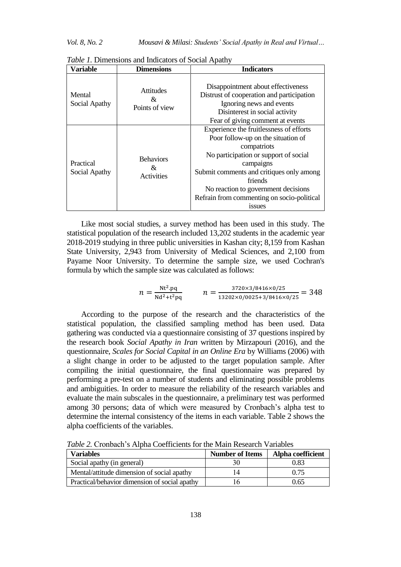## *Vol. 8, No. 2 Mousavi & Milasi: Students' Social Apathy in Real and Virtual…*

| Variable                   | Dimensions                              | <b>Indicators</b>                                                                                                                                                                                                                                                                                                    |  |
|----------------------------|-----------------------------------------|----------------------------------------------------------------------------------------------------------------------------------------------------------------------------------------------------------------------------------------------------------------------------------------------------------------------|--|
| Mental<br>Social Apathy    | <b>Attitudes</b><br>&<br>Points of view | Disappointment about effectiveness<br>Distrust of cooperation and participation<br>Ignoring news and events<br>Disinterest in social activity<br>Fear of giving comment at events                                                                                                                                    |  |
| Practical<br>Social Apathy | <b>Behaviors</b><br>&<br>Activities     | Experience the fruitlessness of efforts<br>Poor follow-up on the situation of<br>compatriots<br>No participation or support of social<br>campaigns<br>Submit comments and critiques only among<br>friends<br>No reaction to government decisions<br>Refrain from commenting on socio-political<br>1SSU <sub>es</sub> |  |

*Table 1.* Dimensions and Indicators of Social Apathy

Like most social studies, a survey method has been used in this study. The statistical population of the research included 13,202 students in the academic year 2018-2019 studying in three public universities in Kashan city; 8,159 from Kashan State University, 2,943 from University of Medical Sciences, and 2,100 from Payame Noor University. To determine the sample size, we used Cochran's formula by which the sample size was calculated as follows:

$$
n = \frac{\text{Nt}^2 \cdot \text{pq}}{\text{Nd}^2 + \text{t}^2 \text{pq}} \qquad n = \frac{3720 \times 3/8416 \times 0/25}{13202 \times 0/0025 + 3/8416 \times 0/25} = 348
$$

According to the purpose of the research and the characteristics of the statistical population, the classified sampling method has been used. Data gathering was conducted via a questionnaire consisting of 37 questions inspired by the research book *Social Apathy in Iran* written by Mirzapouri (2016), and the questionnaire, *Scales for Social Capital in an Online Era* by Williams (2006) with a slight change in order to be adjusted to the target population sample. After compiling the initial questionnaire, the final questionnaire was prepared by performing a pre-test on a number of students and eliminating possible problems and ambiguities. In order to measure the reliability of the research variables and evaluate the main subscales in the questionnaire, a preliminary test was performed among 30 persons; data of which were measured by Cronbach's alpha test to determine the internal consistency of the items in each variable. Table 2 shows the alpha coefficients of the variables.

**Variables Number of Items Alpha coefficient** Social apathy (in general) 630 0.83 Mental/attitude dimension of social apathy 14 0.75 Practical/behavior dimension of social apathy 16 0.65

*Table 2.* Cronbach's Alpha Coefficients for the Main Research Variables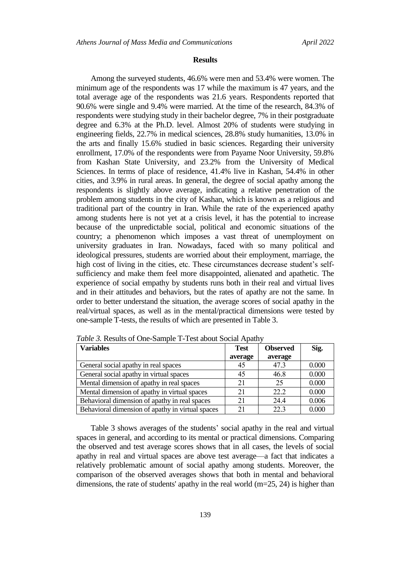#### **Results**

Among the surveyed students, 46.6% were men and 53.4% were women. The minimum age of the respondents was 17 while the maximum is 47 years, and the total average age of the respondents was 21.6 years. Respondents reported that 90.6% were single and 9.4% were married. At the time of the research, 84.3% of respondents were studying study in their bachelor degree, 7% in their postgraduate degree and 6.3% at the Ph.D. level. Almost 20% of students were studying in engineering fields, 22.7% in medical sciences, 28.8% study humanities, 13.0% in the arts and finally 15.6% studied in basic sciences. Regarding their university enrollment, 17.0% of the respondents were from Payame Noor University, 59.8% from Kashan State University, and 23.2% from the University of Medical Sciences. In terms of place of residence, 41.4% live in Kashan, 54.4% in other cities, and 3.9% in rural areas. In general, the degree of social apathy among the respondents is slightly above average, indicating a relative penetration of the problem among students in the city of Kashan, which is known as a religious and traditional part of the country in Iran. While the rate of the experienced apathy among students here is not yet at a crisis level, it has the potential to increase because of the unpredictable social, political and economic situations of the country; a phenomenon which imposes a vast threat of unemployment on university graduates in Iran. Nowadays, faced with so many political and ideological pressures, students are worried about their employment, marriage, the high cost of living in the cities, etc. These circumstances decrease student's selfsufficiency and make them feel more disappointed, alienated and apathetic. The experience of social empathy by students runs both in their real and virtual lives and in their attitudes and behaviors, but the rates of apathy are not the same. In order to better understand the situation, the average scores of social apathy in the real/virtual spaces, as well as in the mental/practical dimensions were tested by one-sample T-tests, the results of which are presented in Table 3.

| <b>Variables</b>                                 | <b>Test</b> | <b>Observed</b> | Sig.  |
|--------------------------------------------------|-------------|-----------------|-------|
|                                                  | average     | average         |       |
| General social apathy in real spaces             | 45          | 47.3            | 0.000 |
| General social apathy in virtual spaces          | 45          | 46.8            | 0.000 |
| Mental dimension of apathy in real spaces        | 21          | 25              | 0.000 |
| Mental dimension of apathy in virtual spaces     | 21          | 22.2            | 0.000 |
| Behavioral dimension of apathy in real spaces    | 21          | 24.4            | 0.006 |
| Behavioral dimension of apathy in virtual spaces | 21          | 22.3            | 0.000 |

*Table 3.* Results of One-Sample T-Test about Social Apathy

Table 3 shows averages of the students' social apathy in the real and virtual spaces in general, and according to its mental or practical dimensions. Comparing the observed and test average scores shows that in all cases, the levels of social apathy in real and virtual spaces are above test average—a fact that indicates a relatively problematic amount of social apathy among students. Moreover, the comparison of the observed averages shows that both in mental and behavioral dimensions, the rate of students' apathy in the real world (m=25, 24) is higher than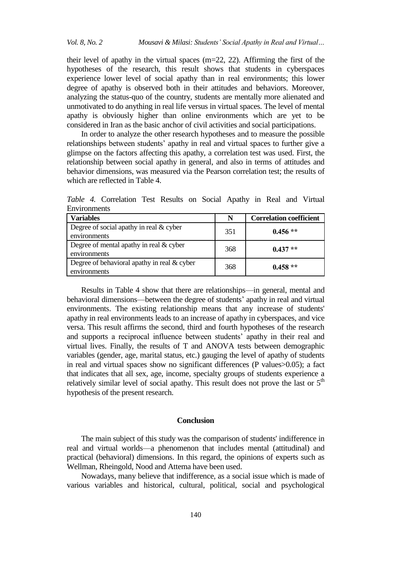their level of apathy in the virtual spaces (m=22, 22). Affirming the first of the hypotheses of the research, this result shows that students in cyberspaces experience lower level of social apathy than in real environments; this lower degree of apathy is observed both in their attitudes and behaviors. Moreover, analyzing the status-quo of the country, students are mentally more alienated and unmotivated to do anything in real life versus in virtual spaces. The level of mental apathy is obviously higher than online environments which are yet to be considered in Iran as the basic anchor of civil activities and social participations.

In order to analyze the other research hypotheses and to measure the possible relationships between students' apathy in real and virtual spaces to further give a glimpse on the factors affecting this apathy, a correlation test was used. First, the relationship between social apathy in general, and also in terms of attitudes and behavior dimensions, was measured via the Pearson correlation test; the results of which are reflected in Table 4.

| <b>Variables</b>                                              | N   | <b>Correlation coefficient</b> |
|---------------------------------------------------------------|-----|--------------------------------|
| Degree of social apathy in real $&$ cyber<br>environments     | 351 | $0.456**$                      |
| Degree of mental apathy in real $&$ cyber<br>environments     | 368 | $0.437**$                      |
| Degree of behavioral apathy in real $&$ cyber<br>environments | 368 | $0.458**$                      |

*Table 4.* Correlation Test Results on Social Apathy in Real and Virtual **Environments** 

Results in Table 4 show that there are relationships—in general, mental and behavioral dimensions—between the degree of students' apathy in real and virtual environments. The existing relationship means that any increase of students' apathy in real environments leads to an increase of apathy in cyberspaces, and vice versa. This result affirms the second, third and fourth hypotheses of the research and supports a reciprocal influence between students' apathy in their real and virtual lives. Finally, the results of T and ANOVA tests between demographic variables (gender, age, marital status, etc.) gauging the level of apathy of students in real and virtual spaces show no significant differences (P values>0.05); a fact that indicates that all sex, age, income, specialty groups of students experience a relatively similar level of social apathy. This result does not prove the last or  $5<sup>th</sup>$ hypothesis of the present research.

### **Conclusion**

The main subject of this study was the comparison of students' indifference in real and virtual worlds—a phenomenon that includes mental (attitudinal) and practical (behavioral) dimensions. In this regard, the opinions of experts such as Wellman, Rheingold, Nood and Attema have been used.

Nowadays, many believe that indifference, as a social issue which is made of various variables and historical, cultural, political, social and psychological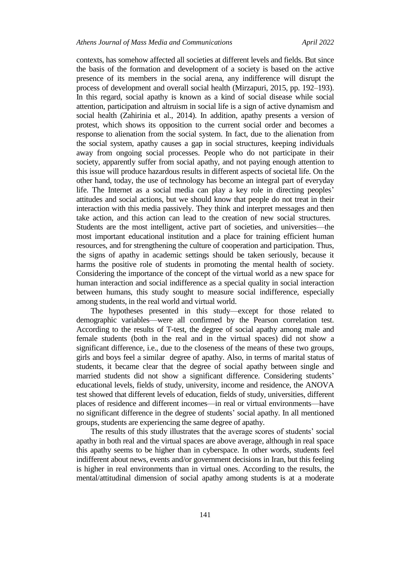contexts, has somehow affected all societies at different levels and fields. But since the basis of the formation and development of a society is based on the active presence of its members in the social arena, any indifference will disrupt the process of development and overall social health (Mirzapuri, 2015, pp. 192–193). In this regard, social apathy is known as a kind of social disease while social attention, participation and altruism in social life is a sign of active dynamism and social health (Zahirinia et al., 2014). In addition, apathy presents a version of protest, which shows its opposition to the current social order and becomes a response to alienation from the social system. In fact, due to the alienation from the social system, apathy causes a gap in social structures, keeping individuals away from ongoing social processes. People who do not participate in their society, apparently suffer from social apathy, and not paying enough attention to this issue will produce hazardous results in different aspects of societal life. On the other hand, today, the use of technology has become an integral part of everyday life. The Internet as a social media can play a key role in directing peoples' attitudes and social actions, but we should know that people do not treat in their interaction with this media passively. They think and interpret messages and then take action, and this action can lead to the creation of new social structures. Students are the most intelligent, active part of societies, and universities—the most important educational institution and a place for training efficient human resources, and for strengthening the culture of cooperation and participation. Thus, the signs of apathy in academic settings should be taken seriously, because it harms the positive role of students in promoting the mental health of society. Considering the importance of the concept of the virtual world as a new space for human interaction and social indifference as a special quality in social interaction between humans, this study sought to measure social indifference, especially among students, in the real world and virtual world.

The hypotheses presented in this study—except for those related to demographic variables—were all confirmed by the Pearson correlation test. According to the results of T-test, the degree of social apathy among male and female students (both in the real and in the virtual spaces) did not show a significant difference, i.e., due to the closeness of the means of these two groups, girls and boys feel a similar degree of apathy. Also, in terms of marital status of students, it became clear that the degree of social apathy between single and married students did not show a significant difference. Considering students' educational levels, fields of study, university, income and residence, the ANOVA test showed that different levels of education, fields of study, universities, different places of residence and different incomes—in real or virtual environments—have no significant difference in the degree of students' social apathy. In all mentioned groups, students are experiencing the same degree of apathy.

The results of this study illustrates that the average scores of students' social apathy in both real and the virtual spaces are above average, although in real space this apathy seems to be higher than in cyberspace. In other words, students feel indifferent about news, events and/or government decisions in Iran, but this feeling is higher in real environments than in virtual ones. According to the results, the mental/attitudinal dimension of social apathy among students is at a moderate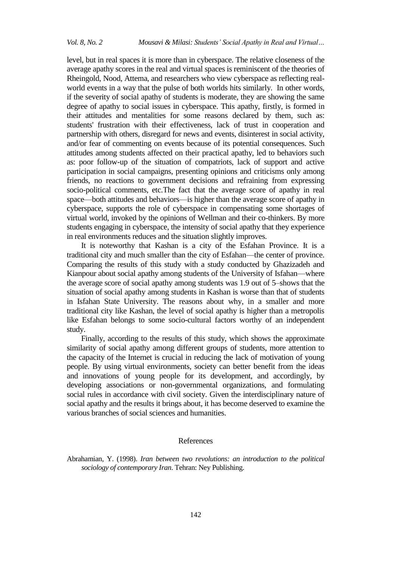level, but in real spaces it is more than in cyberspace. The relative closeness of the average apathy scores in the real and virtual spaces is reminiscent of the theories of Rheingold, Nood, Attema, and researchers who view cyberspace as reflecting realworld events in a way that the pulse of both worlds hits similarly. In other words, if the severity of social apathy of students is moderate, they are showing the same degree of apathy to social issues in cyberspace. This apathy, firstly, is formed in their attitudes and mentalities for some reasons declared by them, such as: students' frustration with their effectiveness, lack of trust in cooperation and partnership with others, disregard for news and events, disinterest in social activity, and/or fear of commenting on events because of its potential consequences. Such attitudes among students affected on their practical apathy, led to behaviors such as: poor follow-up of the situation of compatriots, lack of support and active participation in social campaigns, presenting opinions and criticisms only among friends, no reactions to government decisions and refraining from expressing socio-political comments, etc.The fact that the average score of apathy in real space—both attitudes and behaviors—is higher than the average score of apathy in cyberspace, supports the role of cyberspace in compensating some shortages of virtual world, invoked by the opinions of Wellman and their co-thinkers. By more students engaging in cyberspace, the intensity of social apathy that they experience in real environments reduces and the situation slightly improves.

It is noteworthy that Kashan is a city of the Esfahan Province. It is a traditional city and much smaller than the city of Esfahan—the center of province. Comparing the results of this study with a study conducted by Ghazizadeh and Kianpour about social apathy among students of the University of Isfahan—where the average score of social apathy among students was 1.9 out of 5–shows that the situation of social apathy among students in Kashan is worse than that of students in Isfahan State University. The reasons about why, in a smaller and more traditional city like Kashan, the level of social apathy is higher than a metropolis like Esfahan belongs to some socio-cultural factors worthy of an independent study.

Finally, according to the results of this study, which shows the approximate similarity of social apathy among different groups of students, more attention to the capacity of the Internet is crucial in reducing the lack of motivation of young people. By using virtual environments, society can better benefit from the ideas and innovations of young people for its development, and accordingly, by developing associations or non-governmental organizations, and formulating social rules in accordance with civil society. Given the interdisciplinary nature of social apathy and the results it brings about, it has become deserved to examine the various branches of social sciences and humanities.

## References

Abrahamian, Y. (1998). *Iran between two revolutions: an introduction to the political sociology of contemporary Iran*. Tehran: Ney Publishing.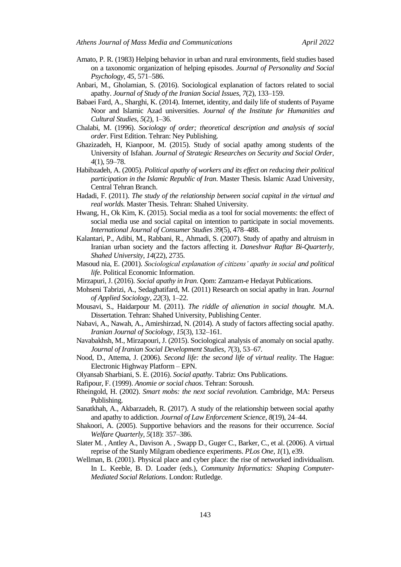- Amato, P. R. (1983) Helping behavior in urban and rural environments, field studies based on a taxonomic organization of helping episodes. *Journal of Personality and Social Psychology*, *45*, 571–586.
- Anbari, M., Gholamian, S. (2016). Sociological explanation of factors related to social apathy. *Journal of Study of the Iranian Social Issues*, *7*(2), 133–159.
- Babaei Fard, A., Sharghi, K. (2014). Internet, identity, and daily life of students of Payame Noor and Islamic Azad universities. *Journal of the Institute for Humanities and Cultural Studies*, *5*(2), 1–36.
- Chalabi, M. (1996). *Sociology of order; theoretical description and analysis of social order*. First Edition. Tehran: Ney Publishing.
- Ghazizadeh, H, Kianpoor, M. (2015). Study of social apathy among students of the University of Isfahan. *Journal of Strategic Researches on Security and Social Order*, *4*(1), 59–78.
- Habibzadeh, A. (2005). *Political apathy of workers and its effect on reducing their political participation in the Islamic Republic of Iran*. Master Thesis. Islamic Azad University, Central Tehran Branch.
- Hadadi, F. (2011). *The study of the relationship between social capital in the virtual and real worlds.* Master Thesis. Tehran: Shahed University.
- Hwang, H., Ok Kim, K. (2015). Social media as a tool for social movements: the effect of social media use and social capital on intention to participate in social movements. *International Journal of Consumer Studies 39*(5), 478–488.
- Kalantari, P., Adibi, M., Rabbani, R., Ahmadi, S. (2007). Study of apathy and altruism in Iranian urban society and the factors affecting it. *Daneshvar Raftar Bi-Quarterly, Shahed University*, *14*(22), 2735.
- Masoud nia, E. (2001). *Sociological explanation of citizens' apathy in social and political life*. Political Economic Information.
- Mirzapuri, J. (2016). *Social apathy in Iran*. Qom: Zamzam-e Hedayat Publications.
- Mohseni Tabrizi, A., Sedaghatifard, M. (2011) Research on social apathy in Iran. *Journal of Applied Sociology*, *22*(3), 1–22.
- Mousavi, S., Haidarpour M. (2011). *The riddle of alienation in social thought.* M.A. Dissertation. Tehran: Shahed University, Publishing Center.
- Nabavi, A., Nawah, A., Amirshirzad, N. (2014). A study of factors affecting social apathy. *Iranian Journal of Sociology*, *15*(3), 132–161.
- Navabakhsh, M., Mirzapouri, J. (2015). Sociological analysis of anomaly on social apathy*. Journal of Iranian Social Development Studies*, *7*(3), 53–67.
- Nood, D., Attema, J. (2006). *Second life: the second life of virtual reality*. The Hague: Electronic Highway Platform – EPN.
- Olyansab Sharbiani, S. E. (2016). *Social apathy*. Tabriz: Ons Publications.
- Rafipour, F. (1999). *Anomie or social chaos*. Tehran: Soroush.
- Rheingold, H. (2002). *Smart mobs: the next social revolution.* Cambridge, MA: Perseus Publishing.
- Sanatkhah, A., Akbarzadeh, R. (2017). A study of the relationship between social apathy and apathy to addiction. *Journal of Law Enforcement Science*, *8*(19), 24–44.
- Shakoori, A. (2005). Supportive behaviors and the reasons for their occurrence. *Social Welfare Quarterly*, *5*(18): 357–386.
- Slater M. , Antley A., Davison A. , Swapp D., Guger C., Barker, C., et al. (2006). A virtual reprise of the Stanly Milgram obedience experiments. *PLos One, 1*(1), e39.
- Wellman, B. (2001). Physical place and cyber place: the rise of networked individualism. In L. Keeble, B. D. Loader (eds.), *Community Informatics: Shaping Computer-Mediated Social Relations*. London: Rutledge.